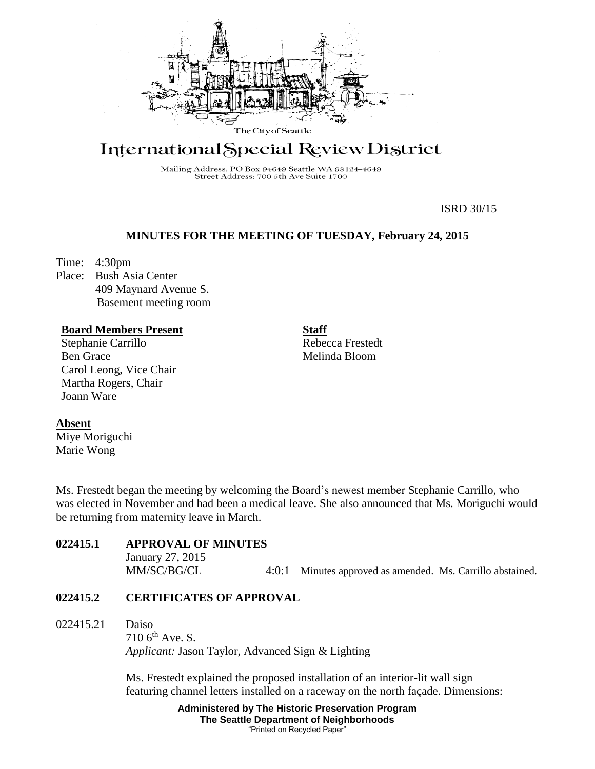

# International Special Review District

Mailing Address: PO Box 94649 Seattle WA 98124-4649 Street Address: 700 5th Ave Suite 1700

ISRD 30/15

#### **MINUTES FOR THE MEETING OF TUESDAY, February 24, 2015**

Time: 4:30pm

**Absent**

Miye Moriguchi Marie Wong

Place: Bush Asia Center 409 Maynard Avenue S. Basement meeting room

#### **Board Members Present**

Stephanie Carrillo Ben Grace Carol Leong, Vice Chair Martha Rogers, Chair Joann Ware

**Staff** Rebecca Frestedt Melinda Bloom

Ms. Frestedt began the meeting by welcoming the Board's newest member Stephanie Carrillo, who was elected in November and had been a medical leave. She also announced that Ms. Moriguchi would be returning from maternity leave in March.

| <b>022415.1</b> | <b>APPROVAL OF MINUTES</b><br>January 27, 2015 |                                                            |
|-----------------|------------------------------------------------|------------------------------------------------------------|
|                 | MM/SC/BG/CL                                    | 4:0:1 Minutes approved as amended. Ms. Carrillo abstained. |

#### **022415.2 CERTIFICATES OF APPROVAL**

022415.21 Daiso

 $710$  6<sup>th</sup> Ave. S. *Applicant:* Jason Taylor, Advanced Sign & Lighting

Ms. Frestedt explained the proposed installation of an interior-lit wall sign featuring channel letters installed on a raceway on the north façade. Dimensions:

> **Administered by The Historic Preservation Program The Seattle Department of Neighborhoods** "Printed on Recycled Paper"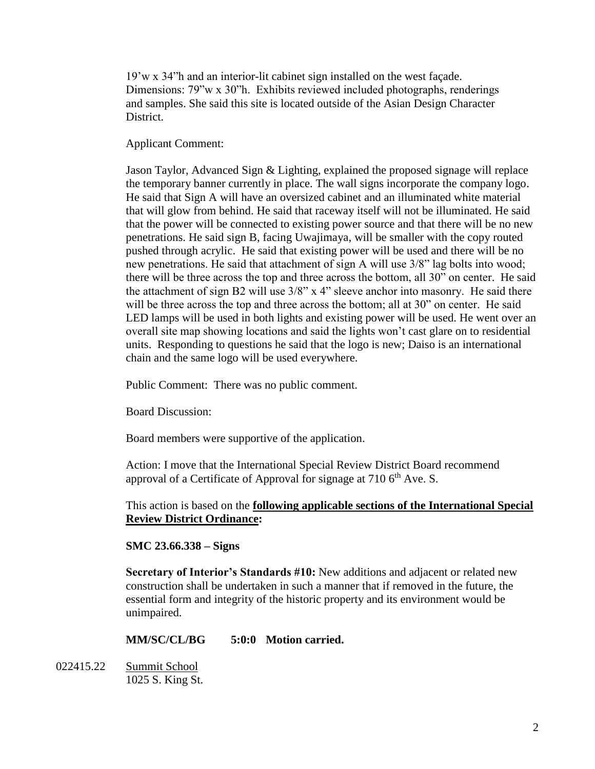19'w x 34"h and an interior-lit cabinet sign installed on the west façade. Dimensions: 79"w x 30"h. Exhibits reviewed included photographs, renderings and samples. She said this site is located outside of the Asian Design Character District.

#### Applicant Comment:

Jason Taylor, Advanced Sign & Lighting, explained the proposed signage will replace the temporary banner currently in place. The wall signs incorporate the company logo. He said that Sign A will have an oversized cabinet and an illuminated white material that will glow from behind. He said that raceway itself will not be illuminated. He said that the power will be connected to existing power source and that there will be no new penetrations. He said sign B, facing Uwajimaya, will be smaller with the copy routed pushed through acrylic. He said that existing power will be used and there will be no new penetrations. He said that attachment of sign A will use 3/8" lag bolts into wood; there will be three across the top and three across the bottom, all 30" on center. He said the attachment of sign B2 will use 3/8" x 4" sleeve anchor into masonry. He said there will be three across the top and three across the bottom; all at 30" on center. He said LED lamps will be used in both lights and existing power will be used. He went over an overall site map showing locations and said the lights won't cast glare on to residential units. Responding to questions he said that the logo is new; Daiso is an international chain and the same logo will be used everywhere.

Public Comment: There was no public comment.

Board Discussion:

Board members were supportive of the application.

Action: I move that the International Special Review District Board recommend approval of a Certificate of Approval for signage at  $710\,6<sup>th</sup>$  Ave. S.

This action is based on the **following applicable sections of the International Special Review District Ordinance:** 

#### **SMC 23.66.338 – Signs**

**Secretary of Interior's Standards #10:** New additions and adjacent or related new construction shall be undertaken in such a manner that if removed in the future, the essential form and integrity of the historic property and its environment would be unimpaired.

#### **MM/SC/CL/BG 5:0:0 Motion carried.**

022415.22 Summit School 1025 S. King St.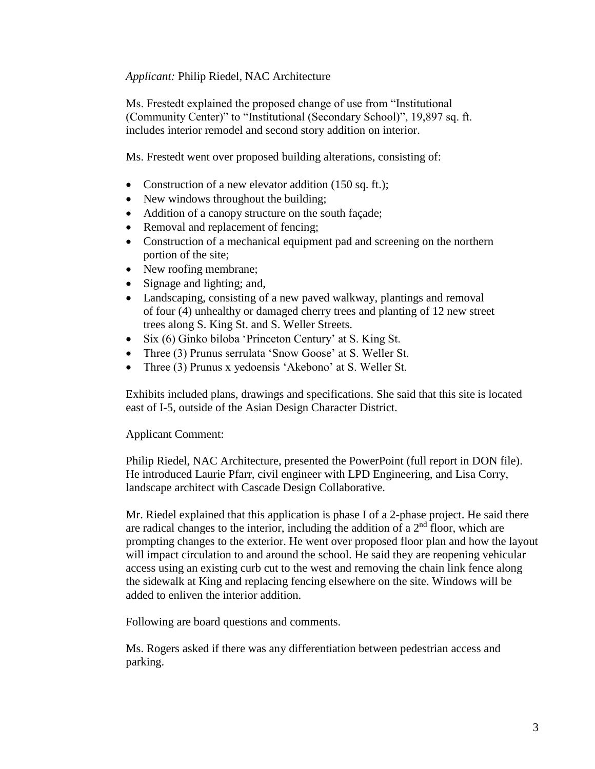### *Applicant:* Philip Riedel, NAC Architecture

Ms. Frestedt explained the proposed change of use from "Institutional (Community Center)" to "Institutional (Secondary School)", 19,897 sq. ft. includes interior remodel and second story addition on interior.

Ms. Frestedt went over proposed building alterations, consisting of:

- Construction of a new elevator addition (150 sq. ft.);
- New windows throughout the building;
- Addition of a canopy structure on the south façade;
- Removal and replacement of fencing;
- Construction of a mechanical equipment pad and screening on the northern portion of the site;
- New roofing membrane;
- Signage and lighting; and,
- Landscaping, consisting of a new paved walkway, plantings and removal of four (4) unhealthy or damaged cherry trees and planting of 12 new street trees along S. King St. and S. Weller Streets.
- Six (6) Ginko biloba 'Princeton Century' at S. King St.
- Three (3) Prunus serrulata 'Snow Goose' at S. Weller St.
- Three (3) Prunus x yedoensis 'Akebono' at S. Weller St.

Exhibits included plans, drawings and specifications. She said that this site is located east of I-5, outside of the Asian Design Character District.

#### Applicant Comment:

Philip Riedel, NAC Architecture, presented the PowerPoint (full report in DON file). He introduced Laurie Pfarr, civil engineer with LPD Engineering, and Lisa Corry, landscape architect with Cascade Design Collaborative.

Mr. Riedel explained that this application is phase I of a 2-phase project. He said there are radical changes to the interior, including the addition of a  $2<sup>nd</sup>$  floor, which are prompting changes to the exterior. He went over proposed floor plan and how the layout will impact circulation to and around the school. He said they are reopening vehicular access using an existing curb cut to the west and removing the chain link fence along the sidewalk at King and replacing fencing elsewhere on the site. Windows will be added to enliven the interior addition.

Following are board questions and comments.

Ms. Rogers asked if there was any differentiation between pedestrian access and parking.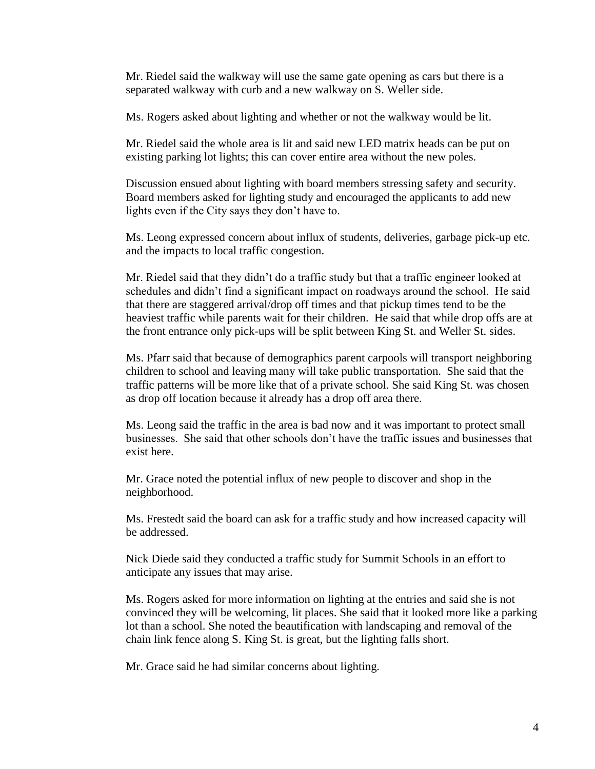Mr. Riedel said the walkway will use the same gate opening as cars but there is a separated walkway with curb and a new walkway on S. Weller side.

Ms. Rogers asked about lighting and whether or not the walkway would be lit.

Mr. Riedel said the whole area is lit and said new LED matrix heads can be put on existing parking lot lights; this can cover entire area without the new poles.

Discussion ensued about lighting with board members stressing safety and security. Board members asked for lighting study and encouraged the applicants to add new lights even if the City says they don't have to.

Ms. Leong expressed concern about influx of students, deliveries, garbage pick-up etc. and the impacts to local traffic congestion.

Mr. Riedel said that they didn't do a traffic study but that a traffic engineer looked at schedules and didn't find a significant impact on roadways around the school. He said that there are staggered arrival/drop off times and that pickup times tend to be the heaviest traffic while parents wait for their children. He said that while drop offs are at the front entrance only pick-ups will be split between King St. and Weller St. sides.

Ms. Pfarr said that because of demographics parent carpools will transport neighboring children to school and leaving many will take public transportation. She said that the traffic patterns will be more like that of a private school. She said King St. was chosen as drop off location because it already has a drop off area there.

Ms. Leong said the traffic in the area is bad now and it was important to protect small businesses. She said that other schools don't have the traffic issues and businesses that exist here.

Mr. Grace noted the potential influx of new people to discover and shop in the neighborhood.

Ms. Frestedt said the board can ask for a traffic study and how increased capacity will be addressed.

Nick Diede said they conducted a traffic study for Summit Schools in an effort to anticipate any issues that may arise.

Ms. Rogers asked for more information on lighting at the entries and said she is not convinced they will be welcoming, lit places. She said that it looked more like a parking lot than a school. She noted the beautification with landscaping and removal of the chain link fence along S. King St. is great, but the lighting falls short.

Mr. Grace said he had similar concerns about lighting.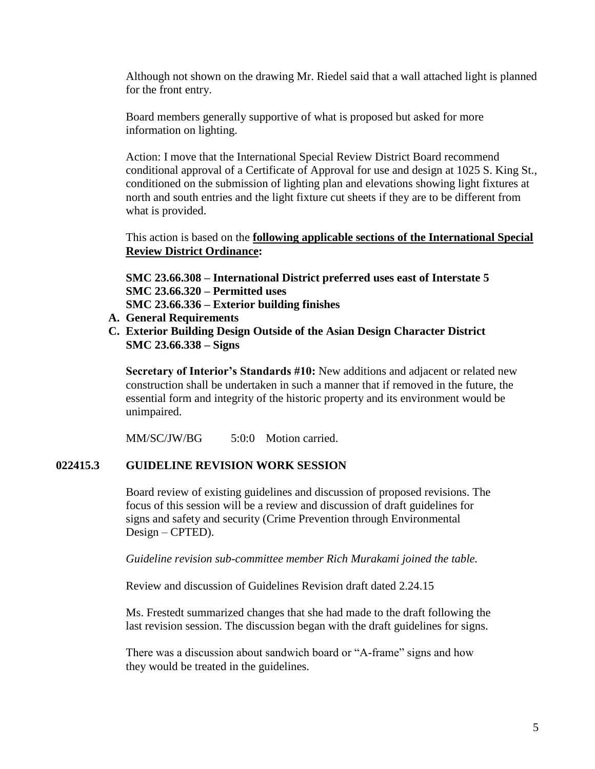Although not shown on the drawing Mr. Riedel said that a wall attached light is planned for the front entry.

Board members generally supportive of what is proposed but asked for more information on lighting.

Action: I move that the International Special Review District Board recommend conditional approval of a Certificate of Approval for use and design at 1025 S. King St., conditioned on the submission of lighting plan and elevations showing light fixtures at north and south entries and the light fixture cut sheets if they are to be different from what is provided.

This action is based on the **following applicable sections of the International Special Review District Ordinance:** 

**SMC 23.66.308 – International District preferred uses east of Interstate 5 SMC 23.66.320 – Permitted uses SMC 23.66.336 – Exterior building finishes**

- **A. General Requirements**
- **C. Exterior Building Design Outside of the Asian Design Character District SMC 23.66.338 – Signs**

**Secretary of Interior's Standards #10:** New additions and adjacent or related new construction shall be undertaken in such a manner that if removed in the future, the essential form and integrity of the historic property and its environment would be unimpaired.

MM/SC/JW/BG 5:0:0 Motion carried.

## **022415.3 GUIDELINE REVISION WORK SESSION**

Board review of existing guidelines and discussion of proposed revisions. The focus of this session will be a review and discussion of draft guidelines for signs and safety and security (Crime Prevention through Environmental Design – CPTED).

*Guideline revision sub-committee member Rich Murakami joined the table.* 

Review and discussion of Guidelines Revision draft dated 2.24.15

Ms. Frestedt summarized changes that she had made to the draft following the last revision session. The discussion began with the draft guidelines for signs.

There was a discussion about sandwich board or "A-frame" signs and how they would be treated in the guidelines.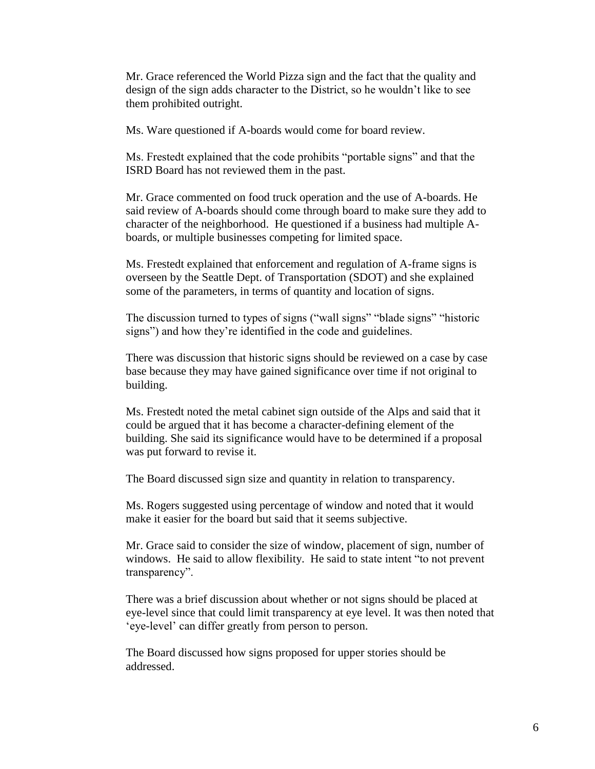Mr. Grace referenced the World Pizza sign and the fact that the quality and design of the sign adds character to the District, so he wouldn't like to see them prohibited outright.

Ms. Ware questioned if A-boards would come for board review.

Ms. Frestedt explained that the code prohibits "portable signs" and that the ISRD Board has not reviewed them in the past.

Mr. Grace commented on food truck operation and the use of A-boards. He said review of A-boards should come through board to make sure they add to character of the neighborhood. He questioned if a business had multiple Aboards, or multiple businesses competing for limited space.

Ms. Frestedt explained that enforcement and regulation of A-frame signs is overseen by the Seattle Dept. of Transportation (SDOT) and she explained some of the parameters, in terms of quantity and location of signs.

The discussion turned to types of signs ("wall signs" "blade signs" "historic signs") and how they're identified in the code and guidelines.

There was discussion that historic signs should be reviewed on a case by case base because they may have gained significance over time if not original to building.

Ms. Frestedt noted the metal cabinet sign outside of the Alps and said that it could be argued that it has become a character-defining element of the building. She said its significance would have to be determined if a proposal was put forward to revise it.

The Board discussed sign size and quantity in relation to transparency.

Ms. Rogers suggested using percentage of window and noted that it would make it easier for the board but said that it seems subjective.

Mr. Grace said to consider the size of window, placement of sign, number of windows. He said to allow flexibility. He said to state intent "to not prevent transparency".

There was a brief discussion about whether or not signs should be placed at eye-level since that could limit transparency at eye level. It was then noted that 'eye-level' can differ greatly from person to person.

The Board discussed how signs proposed for upper stories should be addressed.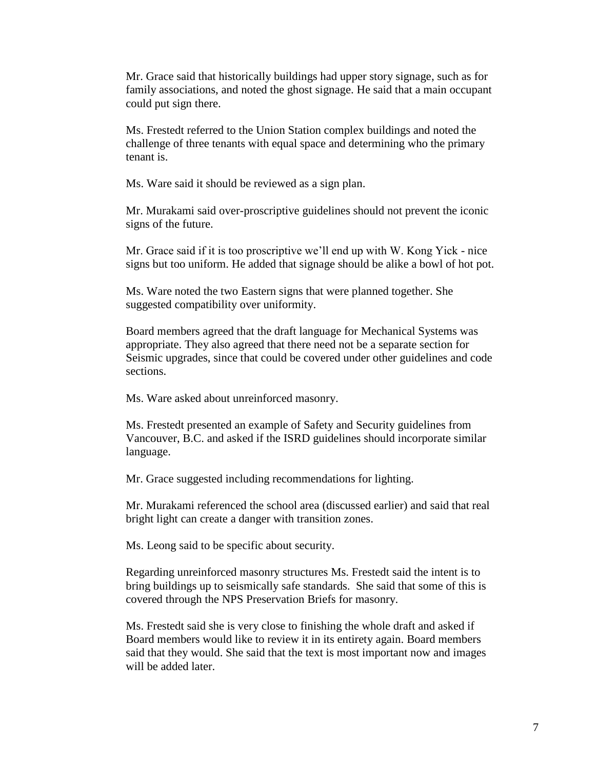Mr. Grace said that historically buildings had upper story signage, such as for family associations, and noted the ghost signage. He said that a main occupant could put sign there.

Ms. Frestedt referred to the Union Station complex buildings and noted the challenge of three tenants with equal space and determining who the primary tenant is.

Ms. Ware said it should be reviewed as a sign plan.

Mr. Murakami said over-proscriptive guidelines should not prevent the iconic signs of the future.

Mr. Grace said if it is too proscriptive we'll end up with W. Kong Yick - nice signs but too uniform. He added that signage should be alike a bowl of hot pot.

Ms. Ware noted the two Eastern signs that were planned together. She suggested compatibility over uniformity.

Board members agreed that the draft language for Mechanical Systems was appropriate. They also agreed that there need not be a separate section for Seismic upgrades, since that could be covered under other guidelines and code sections.

Ms. Ware asked about unreinforced masonry.

Ms. Frestedt presented an example of Safety and Security guidelines from Vancouver, B.C. and asked if the ISRD guidelines should incorporate similar language.

Mr. Grace suggested including recommendations for lighting.

Mr. Murakami referenced the school area (discussed earlier) and said that real bright light can create a danger with transition zones.

Ms. Leong said to be specific about security.

Regarding unreinforced masonry structures Ms. Frestedt said the intent is to bring buildings up to seismically safe standards. She said that some of this is covered through the NPS Preservation Briefs for masonry.

Ms. Frestedt said she is very close to finishing the whole draft and asked if Board members would like to review it in its entirety again. Board members said that they would. She said that the text is most important now and images will be added later.